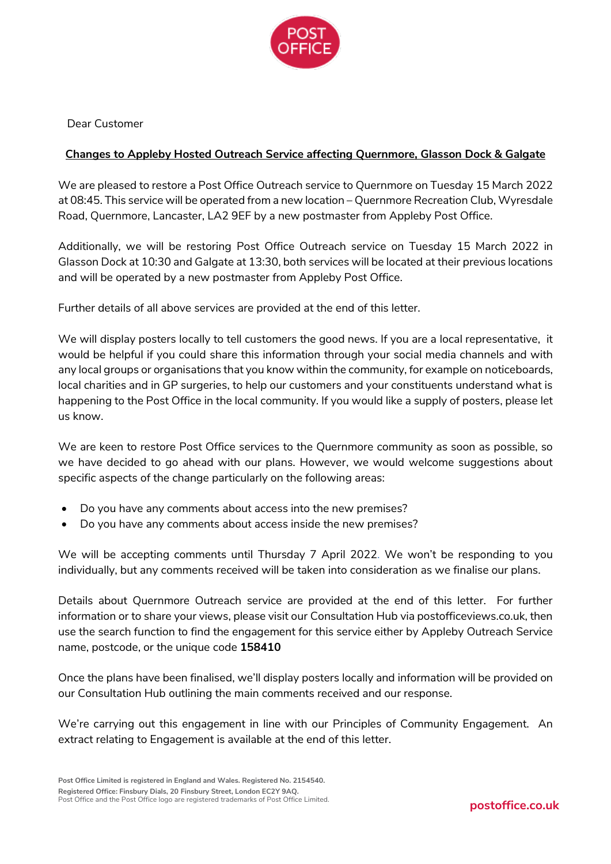

Dear Customer

# **Changes to Appleby Hosted Outreach Service affecting Quernmore, Glasson Dock & Galgate**

We are pleased to restore a Post Office Outreach service to Quernmore on Tuesday 15 March 2022 at 08:45. This service will be operated from a new location – Quernmore Recreation Club, Wyresdale Road, Quernmore, Lancaster, LA2 9EF by a new postmaster from Appleby Post Office.

Additionally, we will be restoring Post Office Outreach service on Tuesday 15 March 2022 in Glasson Dock at 10:30 and Galgate at 13:30, both services will be located at their previous locations and will be operated by a new postmaster from Appleby Post Office.

Further details of all above services are provided at the end of this letter.

We will display posters locally to tell customers the good news. If you are a local representative, it would be helpful if you could share this information through your social media channels and with any local groups or organisations that you know within the community, for example on noticeboards, local charities and in GP surgeries, to help our customers and your constituents understand what is happening to the Post Office in the local community. If you would like a supply of posters, please let us know.

We are keen to restore Post Office services to the Quernmore community as soon as possible, so we have decided to go ahead with our plans. However, we would welcome suggestions about specific aspects of the change particularly on the following areas:

- Do you have any comments about access into the new premises?
- Do you have any comments about access inside the new premises?

We will be accepting comments until Thursday 7 April 2022. We won't be responding to you individually, but any comments received will be taken into consideration as we finalise our plans.

Details about Quernmore Outreach service are provided at the end of this letter. For further information or to share your views, please visit our Consultation Hub via postofficeviews.co.uk, then use the search function to find the engagement for this service either by Appleby Outreach Service name, postcode, or the unique code **158410**

Once the plans have been finalised, we'll display posters locally and information will be provided on our Consultation Hub outlining the main comments received and our response.

We're carrying out this engagement in line with our Principles of Community Engagement. An extract relating to Engagement is available at the end of this letter.

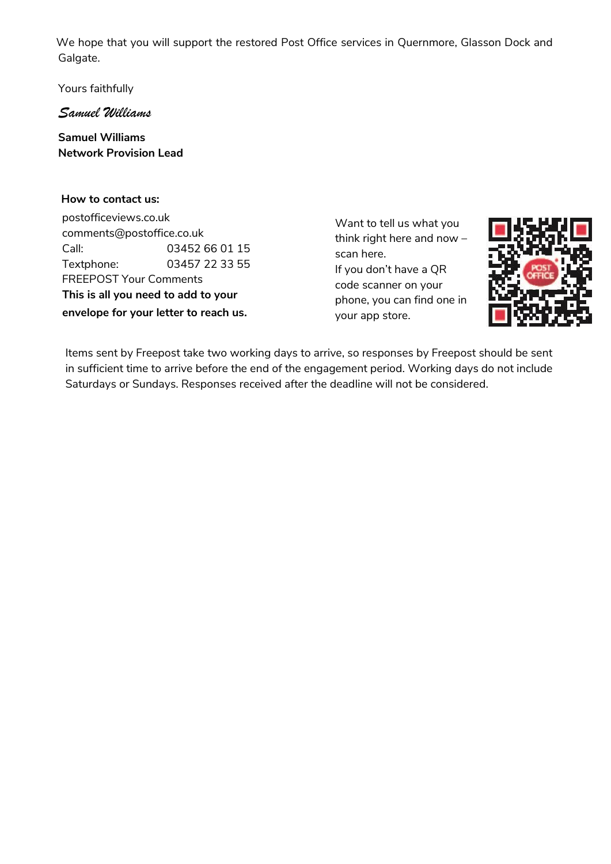We hope that you will support the restored Post Office services in Quernmore, Glasson Dock and Galgate.

Yours faithfully

*Samuel Williams*

**Samuel Williams Network Provision Lead**

#### **How to contact us:**

 postofficeviews.co.uk comments@postoffice.co.uk Call: 03452 66 01 15 Textphone: 03457 22 33 55 FREEPOST Your Comments  **This is all you need to add to your envelope for your letter to reach us.**

Want to tell us what you think right here and now – scan here. If you don't have a QR code scanner on your phone, you can find one in your app store.



Items sent by Freepost take two working days to arrive, so responses by Freepost should be sent in sufficient time to arrive before the end of the engagement period. Working days do not include Saturdays or Sundays. Responses received after the deadline will not be considered.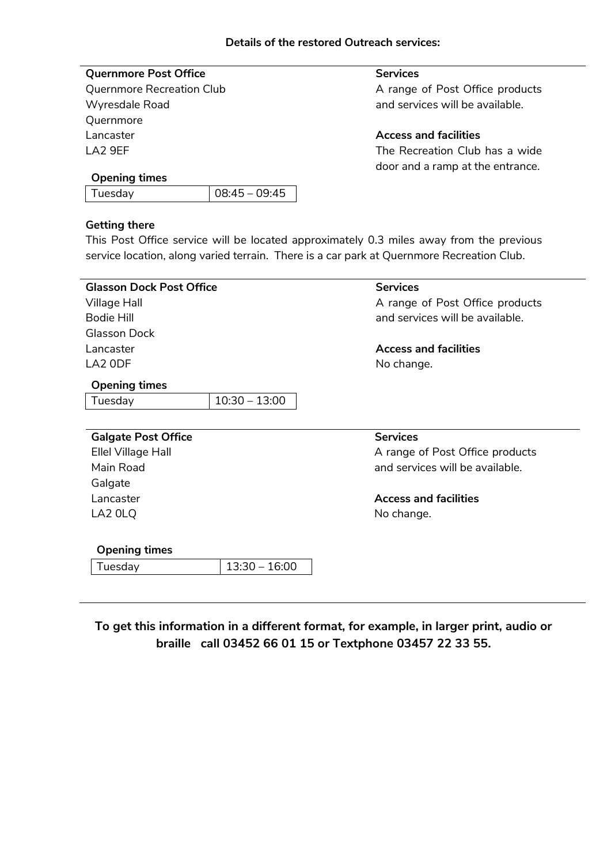## **Quernmore Post Office**

Quernmore Recreation Club Wyresdale Road Quernmore Lancaster LA2 9EF

### **Services**

A range of Post Office products and services will be available.

**Access and facilities**

The Recreation Club has a wide door and a ramp at the entrance.

#### **Opening times**

|--|

#### **Getting there**

This Post Office service will be located approximately 0.3 miles away from the previous service location, along varied terrain. There is a car park at Quernmore Recreation Club.

| <b>Glasson Dock Post Office</b> |                 | <b>Services</b>                 |
|---------------------------------|-----------------|---------------------------------|
| Village Hall                    |                 | A range of Post Office products |
| Bodie Hill                      |                 | and services will be available. |
| Glasson Dock                    |                 |                                 |
| Lancaster                       |                 | <b>Access and facilities</b>    |
| LA2 ODF                         |                 | No change.                      |
| <b>Opening times</b>            |                 |                                 |
| Tuesday                         | $10:30 - 13:00$ |                                 |
|                                 |                 |                                 |
| <b>Galgate Post Office</b>      |                 | <b>Services</b>                 |
| Ellel Village Hall              |                 | A range of Post Office products |
| Main Road                       |                 | and services will be available. |
| Galgate                         |                 |                                 |
| Lancaster                       |                 | <b>Access and facilities</b>    |
| LA2 0LQ                         |                 | No change.                      |
|                                 |                 |                                 |
| <b>Opening times</b>            |                 |                                 |
| Tuesday                         | $13:30 - 16:00$ |                                 |
|                                 |                 |                                 |
|                                 |                 |                                 |

**To get this information in a different format, for example, in larger print, audio or braille call 03452 66 01 15 or Textphone 03457 22 33 55.**